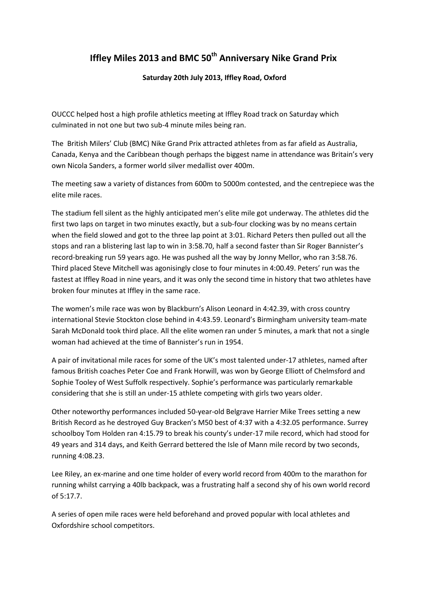## **Iffley Miles 2013 and BMC 50th Anniversary Nike Grand Prix**

**Saturday 20th July 2013, Iffley Road, Oxford**

OUCCC helped host a high profile athletics meeting at Iffley Road track on Saturday which culminated in not one but two sub-4 minute miles being ran.

The British Milers' Club (BMC) Nike Grand Prix attracted athletes from as far afield as Australia, Canada, Kenya and the Caribbean though perhaps the biggest name in attendance was Britain's very own Nicola Sanders, a former world silver medallist over 400m.

The meeting saw a variety of distances from 600m to 5000m contested, and the centrepiece was the elite mile races.

The stadium fell silent as the highly anticipated men's elite mile got underway. The athletes did the first two laps on target in two minutes exactly, but a sub-four clocking was by no means certain when the field slowed and got to the three lap point at 3:01. Richard Peters then pulled out all the stops and ran a blistering last lap to win in 3:58.70, half a second faster than Sir Roger Bannister's record-breaking run 59 years ago. He was pushed all the way by Jonny Mellor, who ran 3:58.76. Third placed Steve Mitchell was agonisingly close to four minutes in 4:00.49. Peters' run was the fastest at Iffley Road in nine years, and it was only the second time in history that two athletes have broken four minutes at Iffley in the same race.

The women's mile race was won by Blackburn's Alison Leonard in 4:42.39, with cross country international Stevie Stockton close behind in 4:43.59. Leonard's Birmingham university team-mate Sarah McDonald took third place. All the elite women ran under 5 minutes, a mark that not a single woman had achieved at the time of Bannister's run in 1954.

A pair of invitational mile races for some of the UK's most talented under-17 athletes, named after famous British coaches Peter Coe and Frank Horwill, was won by George Elliott of Chelmsford and Sophie Tooley of West Suffolk respectively. Sophie's performance was particularly remarkable considering that she is still an under-15 athlete competing with girls two years older.

Other noteworthy performances included 50-year-old Belgrave Harrier Mike Trees setting a new British Record as he destroyed Guy Bracken's M50 best of 4:37 with a 4:32.05 performance. Surrey schoolboy Tom Holden ran 4:15.79 to break his county's under-17 mile record, which had stood for 49 years and 314 days, and Keith Gerrard bettered the Isle of Mann mile record by two seconds, running 4:08.23.

Lee Riley, an ex-marine and one time holder of every world record from 400m to the marathon for running whilst carrying a 40lb backpack, was a frustrating half a second shy of his own world record of 5:17.7.

A series of open mile races were held beforehand and proved popular with local athletes and Oxfordshire school competitors.